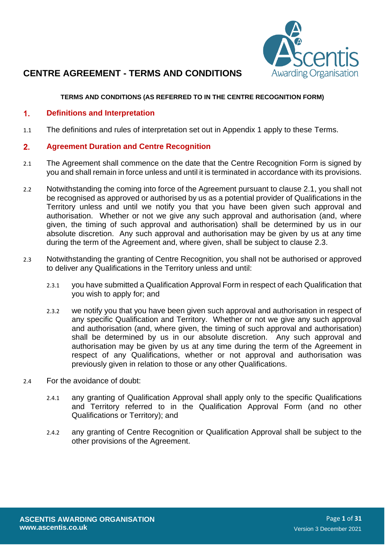

# **CENTRE AGREEMENT - TERMS AND CONDITIONS**

### **TERMS AND CONDITIONS (AS REFERRED TO IN THE CENTRE RECOGNITION FORM)**

#### $1.$ **Definitions and Interpretation**

1.1 The definitions and rules of interpretation set out in Appendix 1 apply to these Terms.

#### $2<sub>1</sub>$ **Agreement Duration and Centre Recognition**

- 2.1 The Agreement shall commence on the date that the Centre Recognition Form is signed by you and shall remain in force unless and until it is terminated in accordance with its provisions.
- 2.2 Notwithstanding the coming into force of the Agreement pursuant to clause 2.1, you shall not be recognised as approved or authorised by us as a potential provider of Qualifications in the Territory unless and until we notify you that you have been given such approval and authorisation. Whether or not we give any such approval and authorisation (and, where given, the timing of such approval and authorisation) shall be determined by us in our absolute discretion. Any such approval and authorisation may be given by us at any time during the term of the Agreement and, where given, shall be subject to clause 2.3.
- 2.3 Notwithstanding the granting of Centre Recognition, you shall not be authorised or approved to deliver any Qualifications in the Territory unless and until:
	- 2.3.1 you have submitted a Qualification Approval Form in respect of each Qualification that you wish to apply for; and
	- 2.3.2 we notify you that you have been given such approval and authorisation in respect of any specific Qualification and Territory. Whether or not we give any such approval and authorisation (and, where given, the timing of such approval and authorisation) shall be determined by us in our absolute discretion. Any such approval and authorisation may be given by us at any time during the term of the Agreement in respect of any Qualifications, whether or not approval and authorisation was previously given in relation to those or any other Qualifications.
- 2.4 For the avoidance of doubt:
	- 2.4.1 any granting of Qualification Approval shall apply only to the specific Qualifications and Territory referred to in the Qualification Approval Form (and no other Qualifications or Territory); and
	- 2.4.2 any granting of Centre Recognition or Qualification Approval shall be subject to the other provisions of the Agreement.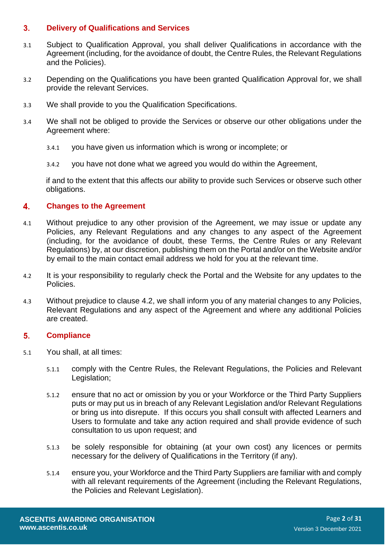#### $3<sub>1</sub>$ **Delivery of Qualifications and Services**

- 3.1 Subject to Qualification Approval, you shall deliver Qualifications in accordance with the Agreement (including, for the avoidance of doubt, the Centre Rules, the Relevant Regulations and the Policies).
- 3.2 Depending on the Qualifications you have been granted Qualification Approval for, we shall provide the relevant Services.
- 3.3 We shall provide to you the Qualification Specifications.
- 3.4 We shall not be obliged to provide the Services or observe our other obligations under the Agreement where:
	- 3.4.1 you have given us information which is wrong or incomplete; or
	- 3.4.2 you have not done what we agreed you would do within the Agreement,

if and to the extent that this affects our ability to provide such Services or observe such other obligations.

#### 4. **Changes to the Agreement**

- 4.1 Without prejudice to any other provision of the Agreement, we may issue or update any Policies, any Relevant Regulations and any changes to any aspect of the Agreement (including, for the avoidance of doubt, these Terms, the Centre Rules or any Relevant Regulations) by, at our discretion, publishing them on the Portal and/or on the Website and/or by email to the main contact email address we hold for you at the relevant time.
- 4.2 It is your responsibility to regularly check the Portal and the Website for any updates to the Policies.
- 4.3 Without prejudice to clause 4.2, we shall inform you of any material changes to any Policies, Relevant Regulations and any aspect of the Agreement and where any additional Policies are created.

#### 5. **Compliance**

- 5.1 You shall, at all times:
	- 5.1.1 comply with the Centre Rules, the Relevant Regulations, the Policies and Relevant Legislation;
	- 5.1.2 ensure that no act or omission by you or your Workforce or the Third Party Suppliers puts or may put us in breach of any Relevant Legislation and/or Relevant Regulations or bring us into disrepute. If this occurs you shall consult with affected Learners and Users to formulate and take any action required and shall provide evidence of such consultation to us upon request; and
	- 5.1.3 be solely responsible for obtaining (at your own cost) any licences or permits necessary for the delivery of Qualifications in the Territory (if any).
	- 5.1.4 ensure you, your Workforce and the Third Party Suppliers are familiar with and comply with all relevant requirements of the Agreement (including the Relevant Regulations, the Policies and Relevant Legislation).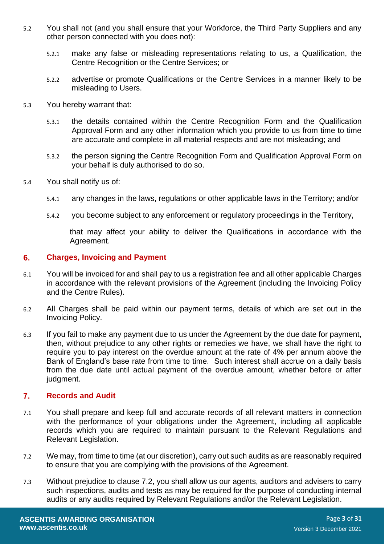- 5.2 You shall not (and you shall ensure that your Workforce, the Third Party Suppliers and any other person connected with you does not):
	- 5.2.1 make any false or misleading representations relating to us, a Qualification, the Centre Recognition or the Centre Services; or
	- 5.2.2 advertise or promote Qualifications or the Centre Services in a manner likely to be misleading to Users.
- 5.3 You hereby warrant that:
	- 5.3.1 the details contained within the Centre Recognition Form and the Qualification Approval Form and any other information which you provide to us from time to time are accurate and complete in all material respects and are not misleading; and
	- 5.3.2 the person signing the Centre Recognition Form and Qualification Approval Form on your behalf is duly authorised to do so.
- 5.4 You shall notify us of:
	- 5.4.1 any changes in the laws, regulations or other applicable laws in the Territory; and/or
	- 5.4.2 you become subject to any enforcement or regulatory proceedings in the Territory,

that may affect your ability to deliver the Qualifications in accordance with the Agreement.

#### 6. **Charges, Invoicing and Payment**

- 6.1 You will be invoiced for and shall pay to us a registration fee and all other applicable Charges in accordance with the relevant provisions of the Agreement (including the Invoicing Policy and the Centre Rules).
- 6.2 All Charges shall be paid within our payment terms, details of which are set out in the Invoicing Policy.
- 6.3 If you fail to make any payment due to us under the Agreement by the due date for payment, then, without prejudice to any other rights or remedies we have, we shall have the right to require you to pay interest on the overdue amount at the rate of 4% per annum above the Bank of England's base rate from time to time. Such interest shall accrue on a daily basis from the due date until actual payment of the overdue amount, whether before or after judgment.

#### 7. **Records and Audit**

- 7.1 You shall prepare and keep full and accurate records of all relevant matters in connection with the performance of your obligations under the Agreement, including all applicable records which you are required to maintain pursuant to the Relevant Regulations and Relevant Legislation.
- 7.2 We may, from time to time (at our discretion), carry out such audits as are reasonably required to ensure that you are complying with the provisions of the Agreement.
- 7.3 Without prejudice to clause 7.2, you shall allow us our agents, auditors and advisers to carry such inspections, audits and tests as may be required for the purpose of conducting internal audits or any audits required by Relevant Regulations and/or the Relevant Legislation.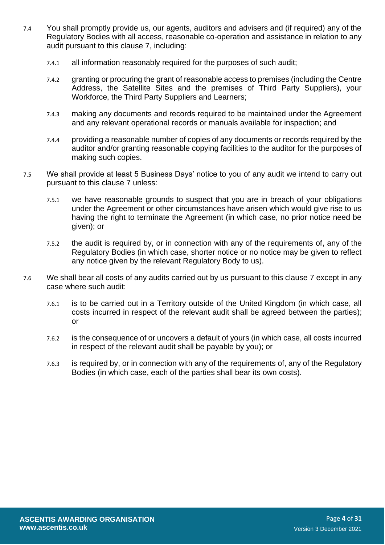- 7.4 You shall promptly provide us, our agents, auditors and advisers and (if required) any of the Regulatory Bodies with all access, reasonable co-operation and assistance in relation to any audit pursuant to this clause 7, including:
	- 7.4.1 all information reasonably required for the purposes of such audit;
	- 7.4.2 granting or procuring the grant of reasonable access to premises (including the Centre Address, the Satellite Sites and the premises of Third Party Suppliers), your Workforce, the Third Party Suppliers and Learners;
	- 7.4.3 making any documents and records required to be maintained under the Agreement and any relevant operational records or manuals available for inspection; and
	- 7.4.4 providing a reasonable number of copies of any documents or records required by the auditor and/or granting reasonable copying facilities to the auditor for the purposes of making such copies.
- 7.5 We shall provide at least 5 Business Days' notice to you of any audit we intend to carry out pursuant to this clause 7 unless:
	- 7.5.1 we have reasonable grounds to suspect that you are in breach of your obligations under the Agreement or other circumstances have arisen which would give rise to us having the right to terminate the Agreement (in which case, no prior notice need be given); or
	- 7.5.2 the audit is required by, or in connection with any of the requirements of, any of the Regulatory Bodies (in which case, shorter notice or no notice may be given to reflect any notice given by the relevant Regulatory Body to us).
- 7.6 We shall bear all costs of any audits carried out by us pursuant to this clause 7 except in any case where such audit:
	- 7.6.1 is to be carried out in a Territory outside of the United Kingdom (in which case, all costs incurred in respect of the relevant audit shall be agreed between the parties); or
	- 7.6.2 is the consequence of or uncovers a default of yours (in which case, all costs incurred in respect of the relevant audit shall be payable by you); or
	- 7.6.3 is required by, or in connection with any of the requirements of, any of the Regulatory Bodies (in which case, each of the parties shall bear its own costs).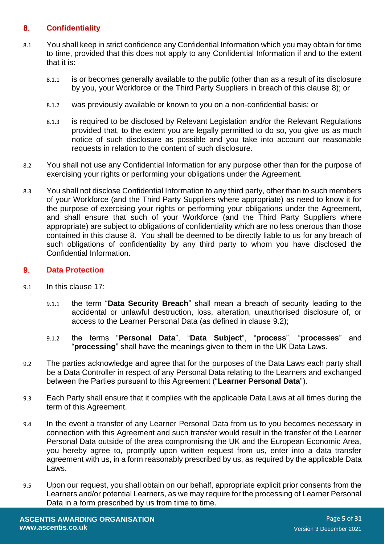#### **Confidentiality** 8.

- 8.1 You shall keep in strict confidence any Confidential Information which you may obtain for time to time, provided that this does not apply to any Confidential Information if and to the extent that it is:
	- 8.1.1 is or becomes generally available to the public (other than as a result of its disclosure by you, your Workforce or the Third Party Suppliers in breach of this clause 8); or
	- 8.1.2 was previously available or known to you on a non-confidential basis; or
	- 8.1.3 is required to be disclosed by Relevant Legislation and/or the Relevant Regulations provided that, to the extent you are legally permitted to do so, you give us as much notice of such disclosure as possible and you take into account our reasonable requests in relation to the content of such disclosure.
- 8.2 You shall not use any Confidential Information for any purpose other than for the purpose of exercising your rights or performing your obligations under the Agreement.
- 8.3 You shall not disclose Confidential Information to any third party, other than to such members of your Workforce (and the Third Party Suppliers where appropriate) as need to know it for the purpose of exercising your rights or performing your obligations under the Agreement, and shall ensure that such of your Workforce (and the Third Party Suppliers where appropriate) are subject to obligations of confidentiality which are no less onerous than those contained in this clause 8. You shall be deemed to be directly liable to us for any breach of such obligations of confidentiality by any third party to whom you have disclosed the Confidential Information.

#### 9. **Data Protection**

- 9.1 In this clause 17:
	- 9.1.1 the term "**Data Security Breach**" shall mean a breach of security leading to the accidental or unlawful destruction, loss, alteration, unauthorised disclosure of, or access to the Learner Personal Data (as defined in clause 9.2);
	- 9.1.2 the terms "**Personal Data**", "**Data Subject**", "**process**", "**processes**" and "**processing**" shall have the meanings given to them in the UK Data Laws.
- 9.2 The parties acknowledge and agree that for the purposes of the Data Laws each party shall be a Data Controller in respect of any Personal Data relating to the Learners and exchanged between the Parties pursuant to this Agreement ("**Learner Personal Data**").
- 9.3 Each Party shall ensure that it complies with the applicable Data Laws at all times during the term of this Agreement.
- 9.4 In the event a transfer of any Learner Personal Data from us to you becomes necessary in connection with this Agreement and such transfer would result in the transfer of the Learner Personal Data outside of the area compromising the UK and the European Economic Area, you hereby agree to, promptly upon written request from us, enter into a data transfer agreement with us, in a form reasonably prescribed by us, as required by the applicable Data Laws.
- 9.5 Upon our request, you shall obtain on our behalf, appropriate explicit prior consents from the Learners and/or potential Learners, as we may require for the processing of Learner Personal Data in a form prescribed by us from time to time.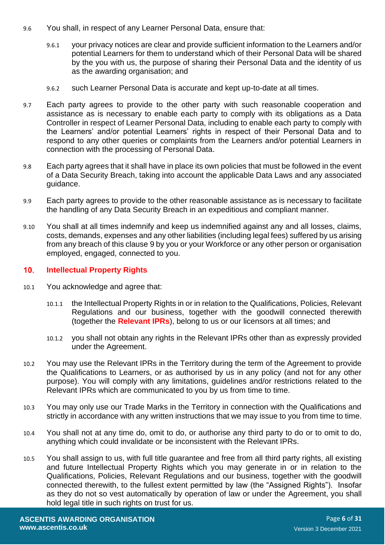- 9.6 You shall, in respect of any Learner Personal Data, ensure that:
	- 9.6.1 your privacy notices are clear and provide sufficient information to the Learners and/or potential Learners for them to understand which of their Personal Data will be shared by the you with us, the purpose of sharing their Personal Data and the identity of us as the awarding organisation; and
	- 9.6.2 such Learner Personal Data is accurate and kept up-to-date at all times.
- 9.7 Each party agrees to provide to the other party with such reasonable cooperation and assistance as is necessary to enable each party to comply with its obligations as a Data Controller in respect of Learner Personal Data, including to enable each party to comply with the Learners' and/or potential Learners' rights in respect of their Personal Data and to respond to any other queries or complaints from the Learners and/or potential Learners in connection with the processing of Personal Data.
- 9.8 Each party agrees that it shall have in place its own policies that must be followed in the event of a Data Security Breach, taking into account the applicable Data Laws and any associated guidance.
- 9.9 Each party agrees to provide to the other reasonable assistance as is necessary to facilitate the handling of any Data Security Breach in an expeditious and compliant manner.
- 9.10 You shall at all times indemnify and keep us indemnified against any and all losses, claims, costs, demands, expenses and any other liabilities (including legal fees) suffered by us arising from any breach of this clause 9 by you or your Workforce or any other person or organisation employed, engaged, connected to you.

#### $10<sub>1</sub>$ **Intellectual Property Rights**

- 10.1 You acknowledge and agree that:
	- 10.1.1 the Intellectual Property Rights in or in relation to the Qualifications, Policies, Relevant Regulations and our business, together with the goodwill connected therewith (together the **Relevant IPRs**), belong to us or our licensors at all times; and
	- 10.1.2 you shall not obtain any rights in the Relevant IPRs other than as expressly provided under the Agreement.
- 10.2 You may use the Relevant IPRs in the Territory during the term of the Agreement to provide the Qualifications to Learners, or as authorised by us in any policy (and not for any other purpose). You will comply with any limitations, guidelines and/or restrictions related to the Relevant IPRs which are communicated to you by us from time to time.
- 10.3 You may only use our Trade Marks in the Territory in connection with the Qualifications and strictly in accordance with any written instructions that we may issue to you from time to time.
- 10.4 You shall not at any time do, omit to do, or authorise any third party to do or to omit to do, anything which could invalidate or be inconsistent with the Relevant IPRs.
- 10.5 You shall assign to us, with full title guarantee and free from all third party rights, all existing and future Intellectual Property Rights which you may generate in or in relation to the Qualifications, Policies, Relevant Regulations and our business, together with the goodwill connected therewith, to the fullest extent permitted by law (the "Assigned Rights"). Insofar as they do not so vest automatically by operation of law or under the Agreement, you shall hold legal title in such rights on trust for us.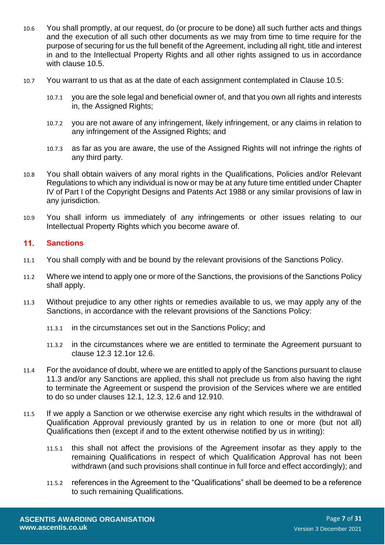- 10.6 You shall promptly, at our request, do (or procure to be done) all such further acts and things and the execution of all such other documents as we may from time to time require for the purpose of securing for us the full benefit of the Agreement, including all right, title and interest in and to the Intellectual Property Rights and all other rights assigned to us in accordance with clause 10.5.
- 10.7 You warrant to us that as at the date of each assignment contemplated in Clause 10.5:
	- 10.7.1 you are the sole legal and beneficial owner of, and that you own all rights and interests in, the Assigned Rights;
	- 10.7.2 you are not aware of any infringement, likely infringement, or any claims in relation to any infringement of the Assigned Rights; and
	- 10.7.3 as far as you are aware, the use of the Assigned Rights will not infringe the rights of any third party.
- 10.8 You shall obtain waivers of any moral rights in the Qualifications, Policies and/or Relevant Regulations to which any individual is now or may be at any future time entitled under Chapter IV of Part I of the Copyright Designs and Patents Act 1988 or any similar provisions of law in any jurisdiction.
- 10.9 You shall inform us immediately of any infringements or other issues relating to our Intellectual Property Rights which you become aware of.

#### $11.$ **Sanctions**

- 11.1 You shall comply with and be bound by the relevant provisions of the Sanctions Policy.
- 11.2 Where we intend to apply one or more of the Sanctions, the provisions of the Sanctions Policy shall apply.
- 11.3 Without prejudice to any other rights or remedies available to us, we may apply any of the Sanctions, in accordance with the relevant provisions of the Sanctions Policy:
	- 11.3.1 in the circumstances set out in the Sanctions Policy; and
	- 11.3.2 in the circumstances where we are entitled to terminate the Agreement pursuant to clause 12.3 12.1or 12.6.
- 11.4 For the avoidance of doubt, where we are entitled to apply of the Sanctions pursuant to clause 11.3 and/or any Sanctions are applied, this shall not preclude us from also having the right to terminate the Agreement or suspend the provision of the Services where we are entitled to do so under clauses 12.1, 12.3, 12.6 and 12.910.
- 11.5 If we apply a Sanction or we otherwise exercise any right which results in the withdrawal of Qualification Approval previously granted by us in relation to one or more (but not all) Qualifications then (except if and to the extent otherwise notified by us in writing):
	- 11.5.1 this shall not affect the provisions of the Agreement insofar as they apply to the remaining Qualifications in respect of which Qualification Approval has not been withdrawn (and such provisions shall continue in full force and effect accordingly); and
	- 11.5.2 references in the Agreement to the "Qualifications" shall be deemed to be a reference to such remaining Qualifications.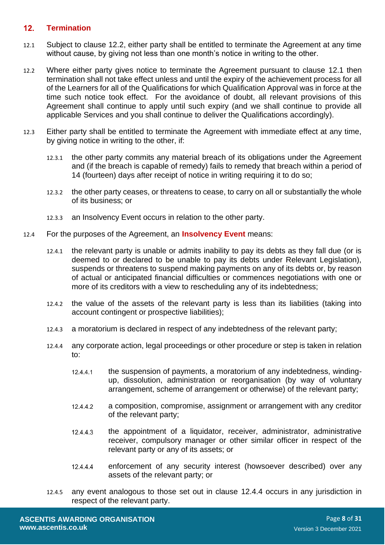#### $12.$ **Termination**

- 12.1 Subject to clause 12.2, either party shall be entitled to terminate the Agreement at any time without cause, by giving not less than one month's notice in writing to the other.
- 12.2 Where either party gives notice to terminate the Agreement pursuant to clause 12.1 then termination shall not take effect unless and until the expiry of the achievement process for all of the Learners for all of the Qualifications for which Qualification Approval was in force at the time such notice took effect. For the avoidance of doubt, all relevant provisions of this Agreement shall continue to apply until such expiry (and we shall continue to provide all applicable Services and you shall continue to deliver the Qualifications accordingly).
- 12.3 Either party shall be entitled to terminate the Agreement with immediate effect at any time, by giving notice in writing to the other, if:
	- 12.3.1 the other party commits any material breach of its obligations under the Agreement and (if the breach is capable of remedy) fails to remedy that breach within a period of 14 (fourteen) days after receipt of notice in writing requiring it to do so;
	- 12.3.2 the other party ceases, or threatens to cease, to carry on all or substantially the whole of its business; or
	- 12.3.3 an Insolvency Event occurs in relation to the other party.
- 12.4 For the purposes of the Agreement, an **Insolvency Event** means:
	- 12.4.1 the relevant party is unable or admits inability to pay its debts as they fall due (or is deemed to or declared to be unable to pay its debts under Relevant Legislation), suspends or threatens to suspend making payments on any of its debts or, by reason of actual or anticipated financial difficulties or commences negotiations with one or more of its creditors with a view to rescheduling any of its indebtedness;
	- 12.4.2 the value of the assets of the relevant party is less than its liabilities (taking into account contingent or prospective liabilities);
	- 12.4.3 a moratorium is declared in respect of any indebtedness of the relevant party;
	- 12.4.4 any corporate action, legal proceedings or other procedure or step is taken in relation to:
		- 12.4.4.1 the suspension of payments, a moratorium of any indebtedness, windingup, dissolution, administration or reorganisation (by way of voluntary arrangement, scheme of arrangement or otherwise) of the relevant party;
		- 12.4.4.2 a composition, compromise, assignment or arrangement with any creditor of the relevant party;
		- the appointment of a liquidator, receiver, administrator, administrative 12.4.4.3 receiver, compulsory manager or other similar officer in respect of the relevant party or any of its assets; or
		- enforcement of any security interest (howsoever described) over any 12.4.4.4 assets of the relevant party; or
	- 12.4.5 any event analogous to those set out in clause 12.4.4 occurs in any jurisdiction in respect of the relevant party.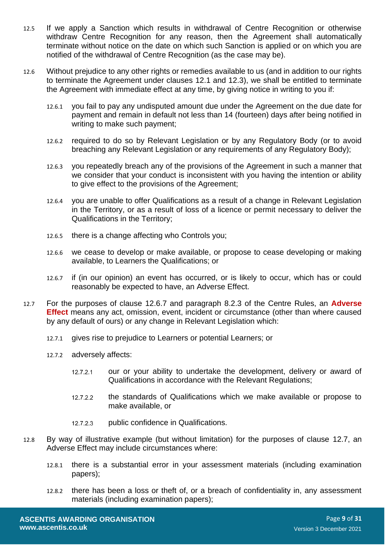- 12.5 If we apply a Sanction which results in withdrawal of Centre Recognition or otherwise withdraw Centre Recognition for any reason, then the Agreement shall automatically terminate without notice on the date on which such Sanction is applied or on which you are notified of the withdrawal of Centre Recognition (as the case may be).
- 12.6 Without prejudice to any other rights or remedies available to us (and in addition to our rights to terminate the Agreement under clauses 12.1 and 12.3), we shall be entitled to terminate the Agreement with immediate effect at any time, by giving notice in writing to you if:
	- 12.6.1 you fail to pay any undisputed amount due under the Agreement on the due date for payment and remain in default not less than 14 (fourteen) days after being notified in writing to make such payment;
	- 12.6.2 required to do so by Relevant Legislation or by any Regulatory Body (or to avoid breaching any Relevant Legislation or any requirements of any Regulatory Body);
	- 12.6.3 you repeatedly breach any of the provisions of the Agreement in such a manner that we consider that your conduct is inconsistent with you having the intention or ability to give effect to the provisions of the Agreement;
	- 12.6.4 you are unable to offer Qualifications as a result of a change in Relevant Legislation in the Territory, or as a result of loss of a licence or permit necessary to deliver the Qualifications in the Territory;
	- 12.6.5 there is a change affecting who Controls you;
	- 12.6.6 we cease to develop or make available, or propose to cease developing or making available, to Learners the Qualifications; or
	- 12.6.7 if (in our opinion) an event has occurred, or is likely to occur, which has or could reasonably be expected to have, an Adverse Effect.
- 12.7 For the purposes of clause 12.6.7 and paragraph 8.2.3 of the Centre Rules, an **Adverse Effect** means any act, omission, event, incident or circumstance (other than where caused by any default of ours) or any change in Relevant Legislation which:
	- 12.7.1 gives rise to prejudice to Learners or potential Learners; or
	- 12.7.2 adversely affects:
		- $12.7.2.1$ our or your ability to undertake the development, delivery or award of Qualifications in accordance with the Relevant Regulations;
		- the standards of Qualifications which we make available or propose to  $12.7.2.2$ make available, or
		- public confidence in Qualifications.  $12.7.2.3$
- 12.8 By way of illustrative example (but without limitation) for the purposes of clause 12.7, an Adverse Effect may include circumstances where:
	- 12.8.1 there is a substantial error in your assessment materials (including examination papers);
	- 12.8.2 there has been a loss or theft of, or a breach of confidentiality in, any assessment materials (including examination papers);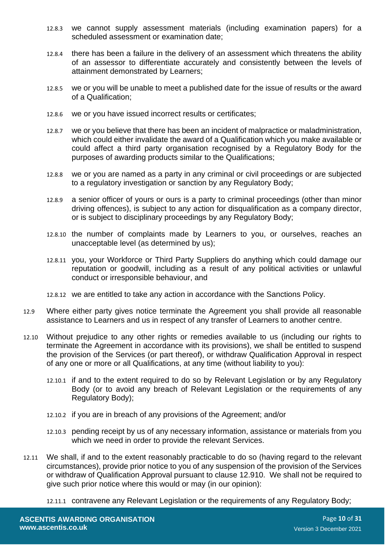- 12.8.3 we cannot supply assessment materials (including examination papers) for a scheduled assessment or examination date;
- 12.8.4 there has been a failure in the delivery of an assessment which threatens the ability of an assessor to differentiate accurately and consistently between the levels of attainment demonstrated by Learners;
- 12.8.5 we or you will be unable to meet a published date for the issue of results or the award of a Qualification;
- 12.8.6 we or you have issued incorrect results or certificates;
- 12.8.7 we or you believe that there has been an incident of malpractice or maladministration, which could either invalidate the award of a Qualification which you make available or could affect a third party organisation recognised by a Regulatory Body for the purposes of awarding products similar to the Qualifications;
- 12.8.8 we or you are named as a party in any criminal or civil proceedings or are subjected to a regulatory investigation or sanction by any Regulatory Body;
- 12.8.9 a senior officer of yours or ours is a party to criminal proceedings (other than minor driving offences), is subject to any action for disqualification as a company director, or is subject to disciplinary proceedings by any Regulatory Body;
- 12.8.10 the number of complaints made by Learners to you, or ourselves, reaches an unacceptable level (as determined by us);
- 12.8.11 you, your Workforce or Third Party Suppliers do anything which could damage our reputation or goodwill, including as a result of any political activities or unlawful conduct or irresponsible behaviour, and
- 12.8.12 we are entitled to take any action in accordance with the Sanctions Policy.
- 12.9 Where either party gives notice terminate the Agreement you shall provide all reasonable assistance to Learners and us in respect of any transfer of Learners to another centre.
- 12.10 Without prejudice to any other rights or remedies available to us (including our rights to terminate the Agreement in accordance with its provisions), we shall be entitled to suspend the provision of the Services (or part thereof), or withdraw Qualification Approval in respect of any one or more or all Qualifications, at any time (without liability to you):
	- 12.10.1 if and to the extent required to do so by Relevant Legislation or by any Regulatory Body (or to avoid any breach of Relevant Legislation or the requirements of any Regulatory Body);
	- 12.10.2 if you are in breach of any provisions of the Agreement; and/or
	- 12.10.3 pending receipt by us of any necessary information, assistance or materials from you which we need in order to provide the relevant Services.
- 12.11 We shall, if and to the extent reasonably practicable to do so (having regard to the relevant circumstances), provide prior notice to you of any suspension of the provision of the Services or withdraw of Qualification Approval pursuant to clause 12.910. We shall not be required to give such prior notice where this would or may (in our opinion):
	- 12.11.1 contravene any Relevant Legislation or the requirements of any Regulatory Body;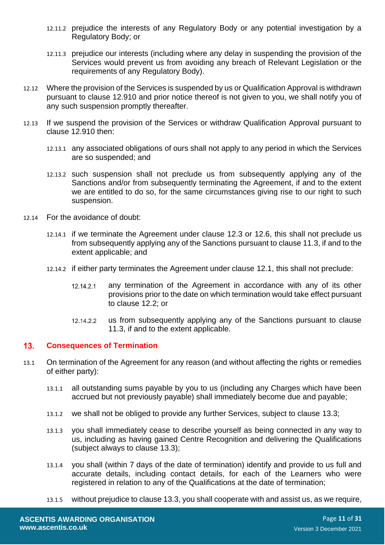- 12.11.2 prejudice the interests of any Regulatory Body or any potential investigation by a Regulatory Body; or
- 12.11.3 prejudice our interests (including where any delay in suspending the provision of the Services would prevent us from avoiding any breach of Relevant Legislation or the requirements of any Regulatory Body).
- 12.12 Where the provision of the Services is suspended by us or Qualification Approval is withdrawn pursuant to clause 12.910 and prior notice thereof is not given to you, we shall notify you of any such suspension promptly thereafter.
- 12.13 If we suspend the provision of the Services or withdraw Qualification Approval pursuant to clause 12.910 then:
	- 12.13.1 any associated obligations of ours shall not apply to any period in which the Services are so suspended; and
	- 12.13.2 such suspension shall not preclude us from subsequently applying any of the Sanctions and/or from subsequently terminating the Agreement, if and to the extent we are entitled to do so, for the same circumstances giving rise to our right to such suspension.
- 12.14 For the avoidance of doubt:
	- 12.14.1 if we terminate the Agreement under clause 12.3 or 12.6, this shall not preclude us from subsequently applying any of the Sanctions pursuant to clause 11.3, if and to the extent applicable; and
	- 12.14.2 if either party terminates the Agreement under clause 12.1, this shall not preclude:
		- any termination of the Agreement in accordance with any of its other  $12.14.2.1$ provisions prior to the date on which termination would take effect pursuant to clause 12.2; or
		- 12.14.2.2 us from subsequently applying any of the Sanctions pursuant to clause 11.3, if and to the extent applicable.

#### $13.$ **Consequences of Termination**

- 13.1 On termination of the Agreement for any reason (and without affecting the rights or remedies of either party):
	- 13.1.1 all outstanding sums payable by you to us (including any Charges which have been accrued but not previously payable) shall immediately become due and payable;
	- 13.1.2 we shall not be obliged to provide any further Services, subject to clause 13.3;
	- 13.1.3 you shall immediately cease to describe yourself as being connected in any way to us, including as having gained Centre Recognition and delivering the Qualifications (subject always to clause 13.3);
	- 13.1.4 you shall (within 7 days of the date of termination) identify and provide to us full and accurate details, including contact details, for each of the Learners who were registered in relation to any of the Qualifications at the date of termination;
	- 13.1.5 without prejudice to clause 13.3, you shall cooperate with and assist us, as we require,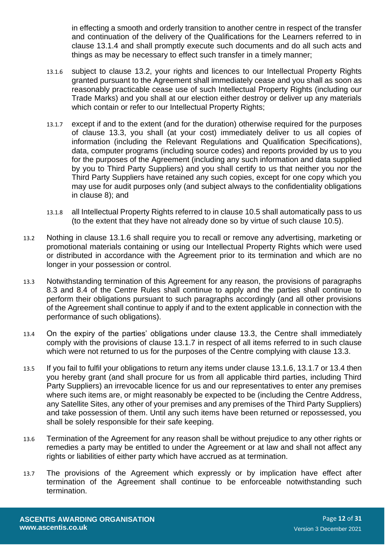in effecting a smooth and orderly transition to another centre in respect of the transfer and continuation of the delivery of the Qualifications for the Learners referred to in clause 13.1.4 and shall promptly execute such documents and do all such acts and things as may be necessary to effect such transfer in a timely manner;

- 13.1.6 subject to clause 13.2, your rights and licences to our Intellectual Property Rights granted pursuant to the Agreement shall immediately cease and you shall as soon as reasonably practicable cease use of such Intellectual Property Rights (including our Trade Marks) and you shall at our election either destroy or deliver up any materials which contain or refer to our Intellectual Property Rights;
- 13.1.7 except if and to the extent (and for the duration) otherwise required for the purposes of clause 13.3, you shall (at your cost) immediately deliver to us all copies of information (including the Relevant Regulations and Qualification Specifications), data, computer programs (including source codes) and reports provided by us to you for the purposes of the Agreement (including any such information and data supplied by you to Third Party Suppliers) and you shall certify to us that neither you nor the Third Party Suppliers have retained any such copies, except for one copy which you may use for audit purposes only (and subject always to the confidentiality obligations in clause 8); and
- 13.1.8 all Intellectual Property Rights referred to in clause 10.5 shall automatically pass to us (to the extent that they have not already done so by virtue of such clause 10.5).
- 13.2 Nothing in clause 13.1.6 shall require you to recall or remove any advertising, marketing or promotional materials containing or using our Intellectual Property Rights which were used or distributed in accordance with the Agreement prior to its termination and which are no longer in your possession or control.
- 13.3 Notwithstanding termination of this Agreement for any reason, the provisions of paragraphs 8.3 and 8.4 of the Centre Rules shall continue to apply and the parties shall continue to perform their obligations pursuant to such paragraphs accordingly (and all other provisions of the Agreement shall continue to apply if and to the extent applicable in connection with the performance of such obligations).
- 13.4 On the expiry of the parties' obligations under clause 13.3, the Centre shall immediately comply with the provisions of clause 13.1.7 in respect of all items referred to in such clause which were not returned to us for the purposes of the Centre complying with clause 13.3.
- 13.5 If you fail to fulfil your obligations to return any items under clause 13.1.6, 13.1.7 or 13.4 then you hereby grant (and shall procure for us from all applicable third parties, including Third Party Suppliers) an irrevocable licence for us and our representatives to enter any premises where such items are, or might reasonably be expected to be (including the Centre Address, any Satellite Sites, any other of your premises and any premises of the Third Party Suppliers) and take possession of them. Until any such items have been returned or repossessed, you shall be solely responsible for their safe keeping.
- 13.6 Termination of the Agreement for any reason shall be without prejudice to any other rights or remedies a party may be entitled to under the Agreement or at law and shall not affect any rights or liabilities of either party which have accrued as at termination.
- 13.7 The provisions of the Agreement which expressly or by implication have effect after termination of the Agreement shall continue to be enforceable notwithstanding such termination.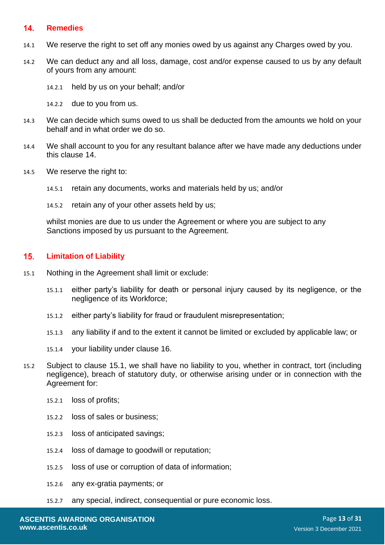#### **Remedies**  $14.$

- 14.1 We reserve the right to set off any monies owed by us against any Charges owed by you.
- 14.2 We can deduct any and all loss, damage, cost and/or expense caused to us by any default of yours from any amount:
	- 14.2.1 held by us on your behalf; and/or
	- 14.2.2 due to you from us.
- 14.3 We can decide which sums owed to us shall be deducted from the amounts we hold on your behalf and in what order we do so.
- 14.4 We shall account to you for any resultant balance after we have made any deductions under this clause 14.
- 14.5 We reserve the right to:
	- 14.5.1 retain any documents, works and materials held by us; and/or
	- 14.5.2 retain any of your other assets held by us;

whilst monies are due to us under the Agreement or where you are subject to any Sanctions imposed by us pursuant to the Agreement.

#### $15.$ **Limitation of Liability**

- 15.1 Nothing in the Agreement shall limit or exclude:
	- 15.1.1 either party's liability for death or personal injury caused by its negligence, or the negligence of its Workforce;
	- 15.1.2 either party's liability for fraud or fraudulent misrepresentation;
	- 15.1.3 any liability if and to the extent it cannot be limited or excluded by applicable law; or
	- 15.1.4 your liability under clause 16.
- 15.2 Subject to clause 15.1, we shall have no liability to you, whether in contract, tort (including negligence), breach of statutory duty, or otherwise arising under or in connection with the Agreement for:
	- 15.2.1 loss of profits;
	- 15.2.2 loss of sales or business;
	- 15.2.3 loss of anticipated savings;
	- 15.2.4 loss of damage to goodwill or reputation;
	- 15.2.5 loss of use or corruption of data of information;
	- 15.2.6 any ex-gratia payments; or
	- 15.2.7 any special, indirect, consequential or pure economic loss.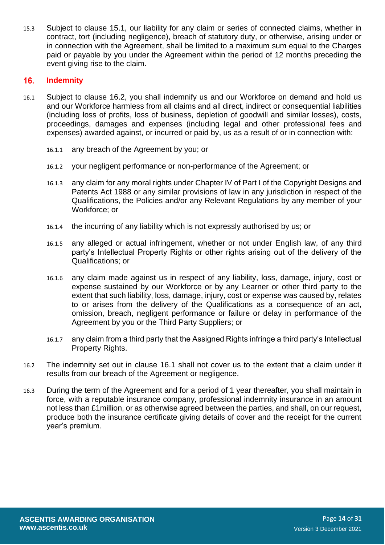15.3 Subject to clause 15.1, our liability for any claim or series of connected claims, whether in contract, tort (including negligence), breach of statutory duty, or otherwise, arising under or in connection with the Agreement, shall be limited to a maximum sum equal to the Charges paid or payable by you under the Agreement within the period of 12 months preceding the event giving rise to the claim.

#### 16. **Indemnity**

- 16.1 Subject to clause 16.2, you shall indemnify us and our Workforce on demand and hold us and our Workforce harmless from all claims and all direct, indirect or consequential liabilities (including loss of profits, loss of business, depletion of goodwill and similar losses), costs, proceedings, damages and expenses (including legal and other professional fees and expenses) awarded against, or incurred or paid by, us as a result of or in connection with:
	- 16.1.1 any breach of the Agreement by you; or
	- 16.1.2 your negligent performance or non-performance of the Agreement; or
	- 16.1.3 any claim for any moral rights under Chapter IV of Part I of the Copyright Designs and Patents Act 1988 or any similar provisions of law in any jurisdiction in respect of the Qualifications, the Policies and/or any Relevant Regulations by any member of your Workforce; or
	- 16.1.4 the incurring of any liability which is not expressly authorised by us; or
	- 16.1.5 any alleged or actual infringement, whether or not under English law, of any third party's Intellectual Property Rights or other rights arising out of the delivery of the Qualifications; or
	- 16.1.6 any claim made against us in respect of any liability, loss, damage, injury, cost or expense sustained by our Workforce or by any Learner or other third party to the extent that such liability, loss, damage, injury, cost or expense was caused by, relates to or arises from the delivery of the Qualifications as a consequence of an act, omission, breach, negligent performance or failure or delay in performance of the Agreement by you or the Third Party Suppliers; or
	- 16.1.7 any claim from a third party that the Assigned Rights infringe a third party's Intellectual Property Rights.
- 16.2 The indemnity set out in clause 16.1 shall not cover us to the extent that a claim under it results from our breach of the Agreement or negligence.
- 16.3 During the term of the Agreement and for a period of 1 year thereafter, you shall maintain in force, with a reputable insurance company, professional indemnity insurance in an amount not less than £1million, or as otherwise agreed between the parties, and shall, on our request, produce both the insurance certificate giving details of cover and the receipt for the current year's premium.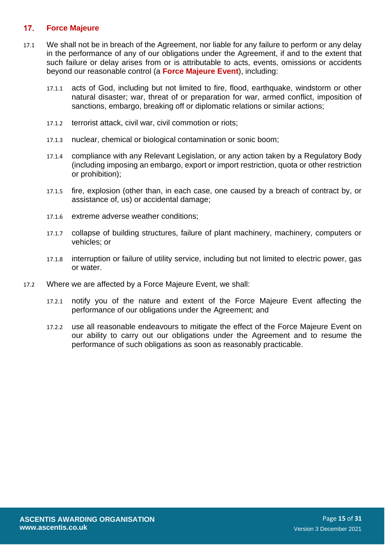#### $17.$ **Force Majeure**

- 17.1 We shall not be in breach of the Agreement, nor liable for any failure to perform or any delay in the performance of any of our obligations under the Agreement, if and to the extent that such failure or delay arises from or is attributable to acts, events, omissions or accidents beyond our reasonable control (a **Force Majeure Event**), including:
	- 17.1.1 acts of God, including but not limited to fire, flood, earthquake, windstorm or other natural disaster; war, threat of or preparation for war, armed conflict, imposition of sanctions, embargo, breaking off or diplomatic relations or similar actions;
	- 17.1.2 terrorist attack, civil war, civil commotion or riots;
	- 17.1.3 nuclear, chemical or biological contamination or sonic boom;
	- 17.1.4 compliance with any Relevant Legislation, or any action taken by a Regulatory Body (including imposing an embargo, export or import restriction, quota or other restriction or prohibition);
	- 17.1.5 fire, explosion (other than, in each case, one caused by a breach of contract by, or assistance of, us) or accidental damage;
	- 17.1.6 extreme adverse weather conditions;
	- 17.1.7 collapse of building structures, failure of plant machinery, machinery, computers or vehicles; or
	- 17.1.8 interruption or failure of utility service, including but not limited to electric power, gas or water.
- 17.2 Where we are affected by a Force Majeure Event, we shall:
	- 17.2.1 notify you of the nature and extent of the Force Majeure Event affecting the performance of our obligations under the Agreement; and
	- 17.2.2 use all reasonable endeavours to mitigate the effect of the Force Majeure Event on our ability to carry out our obligations under the Agreement and to resume the performance of such obligations as soon as reasonably practicable.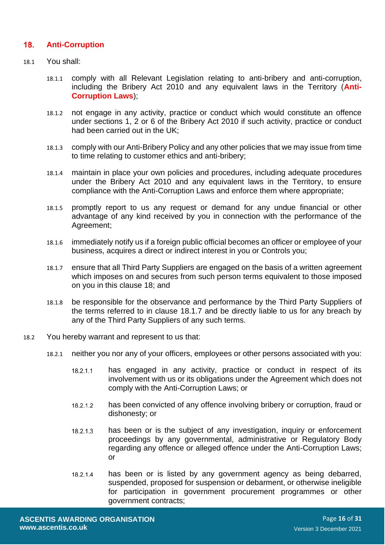#### $18.$ **Anti-Corruption**

- 18.1 You shall:
	- 18.1.1 comply with all Relevant Legislation relating to anti-bribery and anti-corruption, including the Bribery Act 2010 and any equivalent laws in the Territory (**Anti-Corruption Laws**);
	- 18.1.2 not engage in any activity, practice or conduct which would constitute an offence under sections 1, 2 or 6 of the Bribery Act 2010 if such activity, practice or conduct had been carried out in the UK;
	- 18.1.3 comply with our Anti-Bribery Policy and any other policies that we may issue from time to time relating to customer ethics and anti-bribery;
	- 18.1.4 maintain in place your own policies and procedures, including adequate procedures under the Bribery Act 2010 and any equivalent laws in the Territory, to ensure compliance with the Anti-Corruption Laws and enforce them where appropriate;
	- 18.1.5 promptly report to us any request or demand for any undue financial or other advantage of any kind received by you in connection with the performance of the Agreement;
	- 18.1.6 immediately notify us if a foreign public official becomes an officer or employee of your business, acquires a direct or indirect interest in you or Controls you;
	- 18.1.7 ensure that all Third Party Suppliers are engaged on the basis of a written agreement which imposes on and secures from such person terms equivalent to those imposed on you in this clause 18; and
	- 18.1.8 be responsible for the observance and performance by the Third Party Suppliers of the terms referred to in clause 18.1.7 and be directly liable to us for any breach by any of the Third Party Suppliers of any such terms.
- 18.2 You hereby warrant and represent to us that:
	- 18.2.1 neither you nor any of your officers, employees or other persons associated with you:
		- has engaged in any activity, practice or conduct in respect of its  $18.2.1.1$ involvement with us or its obligations under the Agreement which does not comply with the Anti-Corruption Laws; or
		- has been convicted of any offence involving bribery or corruption, fraud or 18.2.1.2 dishonesty; or
		- $18.2.1.3$ has been or is the subject of any investigation, inquiry or enforcement proceedings by any governmental, administrative or Regulatory Body regarding any offence or alleged offence under the Anti-Corruption Laws; or
		- has been or is listed by any government agency as being debarred, 18.2.1.4 suspended, proposed for suspension or debarment, or otherwise ineligible for participation in government procurement programmes or other government contracts;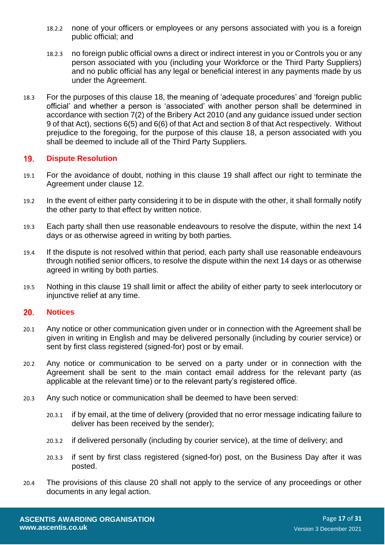- 18.2.2 none of your officers or employees or any persons associated with you is a foreign public official; and
- 18.2.3 no foreign public official owns a direct or indirect interest in you or Controls you or any person associated with you (including your Workforce or the Third Party Suppliers) and no public official has any legal or beneficial interest in any payments made by us under the Agreement.
- 18.3 For the purposes of this clause 18, the meaning of 'adequate procedures' and 'foreign public official' and whether a person is 'associated' with another person shall be determined in accordance with section 7(2) of the Bribery Act 2010 (and any guidance issued under section 9 of that Act), sections 6(5) and 6(6) of that Act and section 8 of that Act respectively. Without prejudice to the foregoing, for the purpose of this clause 18, a person associated with you shall be deemed to include all of the Third Party Suppliers.

#### 19. **Dispute Resolution**

- 19.1 For the avoidance of doubt, nothing in this clause 19 shall affect our right to terminate the Agreement under clause 12.
- 19.2 In the event of either party considering it to be in dispute with the other, it shall formally notify the other party to that effect by written notice.
- 19.3 Each party shall then use reasonable endeavours to resolve the dispute, within the next 14 days or as otherwise agreed in writing by both parties.
- 19.4 If the dispute is not resolved within that period, each party shall use reasonable endeavours through notified senior officers, to resolve the dispute within the next 14 days or as otherwise agreed in writing by both parties.
- 19.5 Nothing in this clause 19 shall limit or affect the ability of either party to seek interlocutory or injunctive relief at any time.

#### $20.$ **Notices**

- 20.1 Any notice or other communication given under or in connection with the Agreement shall be given in writing in English and may be delivered personally (including by courier service) or sent by first class registered (signed-for) post or by email.
- 20.2 Any notice or communication to be served on a party under or in connection with the Agreement shall be sent to the main contact email address for the relevant party (as applicable at the relevant time) or to the relevant party's registered office.
- 20.3 Any such notice or communication shall be deemed to have been served:
	- 20.3.1 if by email, at the time of delivery (provided that no error message indicating failure to deliver has been received by the sender);
	- 20.3.2 if delivered personally (including by courier service), at the time of delivery; and
	- 20.3.3 if sent by first class registered (signed-for) post, on the Business Day after it was posted.
- 20.4 The provisions of this clause 20 shall not apply to the service of any proceedings or other documents in any legal action.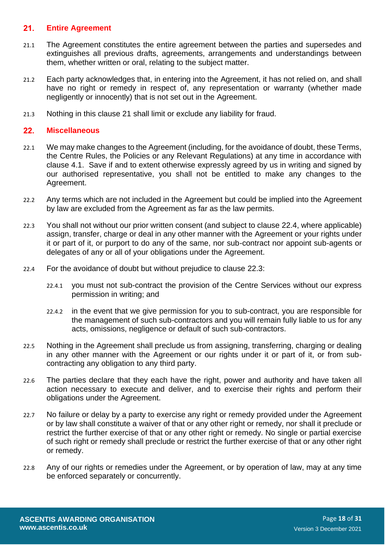#### $21.$ **Entire Agreement**

- 21.1 The Agreement constitutes the entire agreement between the parties and supersedes and extinguishes all previous drafts, agreements, arrangements and understandings between them, whether written or oral, relating to the subject matter.
- 21.2 Each party acknowledges that, in entering into the Agreement, it has not relied on, and shall have no right or remedy in respect of, any representation or warranty (whether made negligently or innocently) that is not set out in the Agreement.
- 21.3 Nothing in this clause 21 shall limit or exclude any liability for fraud.

#### $22.$ **Miscellaneous**

- 22.1 We may make changes to the Agreement (including, for the avoidance of doubt, these Terms, the Centre Rules, the Policies or any Relevant Regulations) at any time in accordance with clause 4.1. Save if and to extent otherwise expressly agreed by us in writing and signed by our authorised representative, you shall not be entitled to make any changes to the Agreement.
- 22.2 Any terms which are not included in the Agreement but could be implied into the Agreement by law are excluded from the Agreement as far as the law permits.
- 22.3 You shall not without our prior written consent (and subject to clause 22.4, where applicable) assign, transfer, charge or deal in any other manner with the Agreement or your rights under it or part of it, or purport to do any of the same, nor sub-contract nor appoint sub-agents or delegates of any or all of your obligations under the Agreement.
- 22.4 For the avoidance of doubt but without prejudice to clause 22.3:
	- 22.4.1 you must not sub-contract the provision of the Centre Services without our express permission in writing; and
	- 22.4.2 in the event that we give permission for you to sub-contract, you are responsible for the management of such sub-contractors and you will remain fully liable to us for any acts, omissions, negligence or default of such sub-contractors.
- 22.5 Nothing in the Agreement shall preclude us from assigning, transferring, charging or dealing in any other manner with the Agreement or our rights under it or part of it, or from subcontracting any obligation to any third party.
- 22.6 The parties declare that they each have the right, power and authority and have taken all action necessary to execute and deliver, and to exercise their rights and perform their obligations under the Agreement.
- 22.7 No failure or delay by a party to exercise any right or remedy provided under the Agreement or by law shall constitute a waiver of that or any other right or remedy, nor shall it preclude or restrict the further exercise of that or any other right or remedy. No single or partial exercise of such right or remedy shall preclude or restrict the further exercise of that or any other right or remedy.
- 22.8 Any of our rights or remedies under the Agreement, or by operation of law, may at any time be enforced separately or concurrently.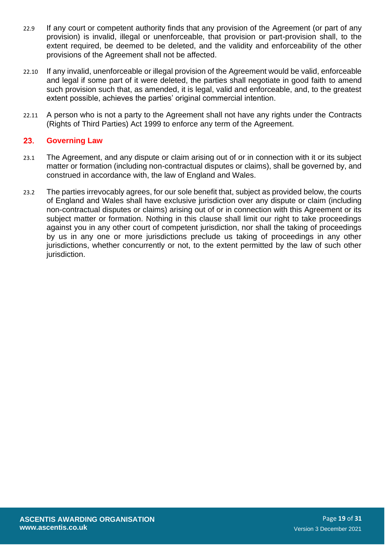- 22.9 If any court or competent authority finds that any provision of the Agreement (or part of any provision) is invalid, illegal or unenforceable, that provision or part-provision shall, to the extent required, be deemed to be deleted, and the validity and enforceability of the other provisions of the Agreement shall not be affected.
- 22.10 If any invalid, unenforceable or illegal provision of the Agreement would be valid, enforceable and legal if some part of it were deleted, the parties shall negotiate in good faith to amend such provision such that, as amended, it is legal, valid and enforceable, and, to the greatest extent possible, achieves the parties' original commercial intention.
- 22.11 A person who is not a party to the Agreement shall not have any rights under the Contracts (Rights of Third Parties) Act 1999 to enforce any term of the Agreement.

#### 23. **Governing Law**

- 23.1 The Agreement, and any dispute or claim arising out of or in connection with it or its subject matter or formation (including non-contractual disputes or claims), shall be governed by, and construed in accordance with, the law of England and Wales.
- 23.2 The parties irrevocably agrees, for our sole benefit that, subject as provided below, the courts of England and Wales shall have exclusive jurisdiction over any dispute or claim (including non-contractual disputes or claims) arising out of or in connection with this Agreement or its subject matter or formation. Nothing in this clause shall limit our right to take proceedings against you in any other court of competent jurisdiction, nor shall the taking of proceedings by us in any one or more jurisdictions preclude us taking of proceedings in any other jurisdictions, whether concurrently or not, to the extent permitted by the law of such other jurisdiction.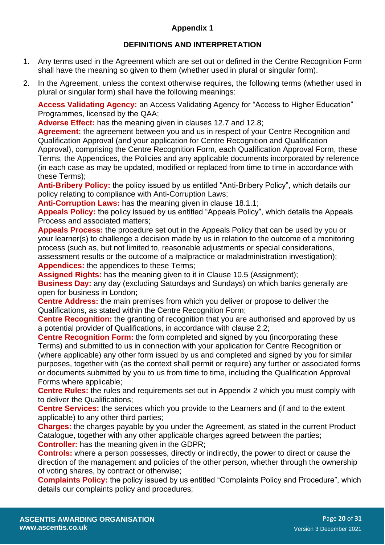## **Appendix 1**

## **DEFINITIONS AND INTERPRETATION**

- 1. Any terms used in the Agreement which are set out or defined in the Centre Recognition Form shall have the meaning so given to them (whether used in plural or singular form).
- 2. In the Agreement, unless the context otherwise requires, the following terms (whether used in plural or singular form) shall have the following meanings:

**Access Validating Agency:** an [Access Validating Agency](http://www.accesstohe.ac.uk/) for "Access to Higher Education" Programmes, licensed by the QAA;

**Adverse Effect:** has the meaning given in clauses 12.7 and 12.8;

**Agreement:** the agreement between you and us in respect of your Centre Recognition and Qualification Approval (and your application for Centre Recognition and Qualification Approval), comprising the Centre Recognition Form, each Qualification Approval Form, these Terms, the Appendices, the Policies and any applicable documents incorporated by reference (in each case as may be updated, modified or replaced from time to time in accordance with

Anti-Bribery Policy: the policy issued by us entitled "Anti-Bribery Policy", which details our policy relating to compliance with Anti-Corruption Laws;

**Anti-Corruption Laws:** has the meaning given in clause 18.1.1;

these Terms);

**Appeals Policy:** the policy issued by us entitled "Appeals Policy", which details the Appeals Process and associated matters;

**Appeals Process:** the procedure set out in the Appeals Policy that can be used by you or your learner(s) to challenge a decision made by us in relation to the outcome of a monitoring process (such as, but not limited to, reasonable adjustments or special considerations, assessment results or the outcome of a malpractice or maladministration investigation); **Appendices:** the appendices to these Terms;

**Assigned Rights:** has the meaning given to it in Clause 10.5 (Assignment);

**Business Day:** any day (excluding Saturdays and Sundays) on which banks generally are open for business in London;

**Centre Address:** the main premises from which you deliver or propose to deliver the Qualifications, as stated within the Centre Recognition Form;

**Centre Recognition:** the granting of recognition that you are authorised and approved by us a potential provider of Qualifications, in accordance with clause 2.2;

**Centre Recognition Form:** the form completed and signed by you (incorporating these Terms) and submitted to us in connection with your application for Centre Recognition or (where applicable) any other form issued by us and completed and signed by you for similar purposes, together with (as the context shall permit or require) any further or associated forms or documents submitted by you to us from time to time, including the Qualification Approval Forms where applicable;

**Centre Rules:** the rules and requirements set out in Appendix 2 which you must comply with to deliver the Qualifications;

**Centre Services:** the services which you provide to the Learners and (if and to the extent applicable) to any other third parties;

**Charges:** the charges payable by you under the Agreement, as stated in the current Product Catalogue, together with any other applicable charges agreed between the parties; **Controller:** has the meaning given in the GDPR;

**Controls:** where a person possesses, directly or indirectly, the power to direct or cause the direction of the management and policies of the other person, whether through the ownership of voting shares, by contract or otherwise;

**Complaints Policy:** the policy issued by us entitled "Complaints Policy and Procedure", which details our complaints policy and procedures;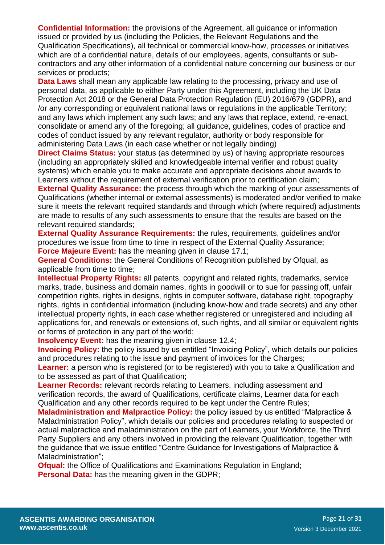**Confidential Information:** the provisions of the Agreement, all guidance or information issued or provided by us (including the Policies, the Relevant Regulations and the Qualification Specifications), all technical or commercial know-how, processes or initiatives which are of a confidential nature, details of our employees, agents, consultants or subcontractors and any other information of a confidential nature concerning our business or our services or products;

**Data Laws** shall mean any applicable law relating to the processing, privacy and use of personal data, as applicable to either Party under this Agreement, including the UK Data Protection Act 2018 or the General Data Protection Regulation (EU) 2016/679 (GDPR), and /or any corresponding or equivalent national laws or regulations in the applicable Territory; and any laws which implement any such laws; and any laws that replace, extend, re-enact, consolidate or amend any of the foregoing; all guidance, guidelines, codes of practice and codes of conduct issued by any relevant regulator, authority or body responsible for administering Data Laws (in each case whether or not legally binding)

**Direct Claims Status:** your status (as determined by us) of having appropriate resources (including an appropriately skilled and knowledgeable internal verifier and robust quality systems) which enable you to make accurate and appropriate decisions about awards to Learners without the requirement of external verification prior to certification claim;

**External Quality Assurance:** the process through which the marking of your assessments of Qualifications (whether internal or external assessments) is moderated and/or verified to make sure it meets the relevant required standards and through which (where required) adjustments are made to results of any such assessments to ensure that the results are based on the relevant required standards;

**External Quality Assurance Requirements:** the rules, requirements, guidelines and/or procedures we issue from time to time in respect of the External Quality Assurance; **Force Majeure Event:** has the meaning given in clause 17.1;

**General Conditions:** the General Conditions of Recognition published by Ofqual, as applicable from time to time;

**Intellectual Property Rights:** all patents, copyright and related rights, trademarks, service marks, trade, business and domain names, rights in goodwill or to sue for passing off, unfair competition rights, rights in designs, rights in computer software, database right, topography rights, rights in confidential information (including know-how and trade secrets) and any other intellectual property rights, in each case whether registered or unregistered and including all applications for, and renewals or extensions of, such rights, and all similar or equivalent rights or forms of protection in any part of the world;

**Insolvency Event:** has the meaning given in clause 12.4;

**Invoicing Policy:** the policy issued by us entitled "Invoicing Policy", which details our policies and procedures relating to the issue and payment of invoices for the Charges;

**Learner:** a person who is registered (or to be registered) with you to take a Qualification and to be assessed as part of that Qualification;

**Learner Records:** relevant records relating to Learners, including assessment and verification records, the award of Qualifications, certificate claims, Learner data for each Qualification and any other records required to be kept under the Centre Rules;

**Maladministration and Malpractice Policy:** the policy issued by us entitled "Malpractice & Maladministration Policy", which details our policies and procedures relating to suspected or actual malpractice and maladministration on the part of Learners, your Workforce, the Third Party Suppliers and any others involved in providing the relevant Qualification, together with the guidance that we issue entitled "Centre Guidance for Investigations of Malpractice & Maladministration";

**Ofqual:** the Office of Qualifications and Examinations Regulation in England; **Personal Data:** has the meaning given in the GDPR;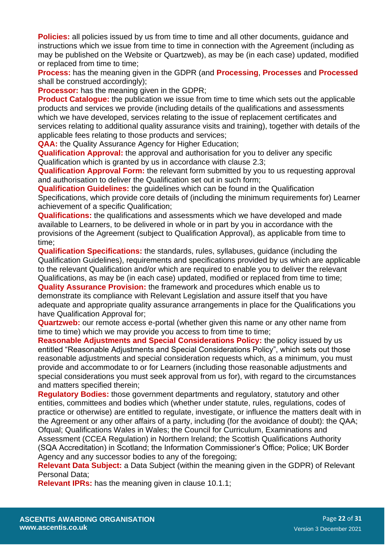**Policies:** all policies issued by us from time to time and all other documents, guidance and instructions which we issue from time to time in connection with the Agreement (including as may be published on the Website or Quartzweb), as may be (in each case) updated, modified or replaced from time to time;

**Process:** has the meaning given in the GDPR (and **Processing**, **Processes** and **Processed** shall be construed accordingly);

**Processor:** has the meaning given in the GDPR;

**Product Catalogue:** the publication we issue from time to time which sets out the applicable products and services we provide (including details of the qualifications and assessments which we have developed, services relating to the issue of replacement certificates and services relating to additional quality assurance visits and training), together with details of the applicable fees relating to those products and services;

**QAA:** the Quality Assurance Agency for Higher Education;

**Qualification Approval:** the approval and authorisation for you to deliver any specific Qualification which is granted by us in accordance with clause 2.3;

**Qualification Approval Form:** the relevant form submitted by you to us requesting approval and authorisation to deliver the Qualification set out in such form;

**Qualification Guidelines:** the guidelines which can be found in the Qualification Specifications, which provide core details of (including the minimum requirements for) Learner achievement of a specific Qualification;

**Qualifications:** the qualifications and assessments which we have developed and made available to Learners, to be delivered in whole or in part by you in accordance with the provisions of the Agreement (subject to Qualification Approval), as applicable from time to time;

**Qualification Specifications:** the standards, rules, syllabuses, guidance (including the Qualification Guidelines), requirements and specifications provided by us which are applicable to the relevant Qualification and/or which are required to enable you to deliver the relevant Qualifications, as may be (in each case) updated, modified or replaced from time to time;

**Quality Assurance Provision:** the framework and procedures which enable us to demonstrate its compliance with Relevant Legislation and assure itself that you have adequate and appropriate quality assurance arrangements in place for the Qualifications you have Qualification Approval for;

**Quartzweb:** our remote access e-portal (whether given this name or any other name from time to time) which we may provide you access to from time to time;

**Reasonable Adjustments and Special Considerations Policy:** the policy issued by us entitled "Reasonable Adjustments and Special Considerations Policy", which sets out those reasonable adjustments and special consideration requests which, as a minimum, you must provide and accommodate to or for Learners (including those reasonable adjustments and special considerations you must seek approval from us for), with regard to the circumstances and matters specified therein;

**Regulatory Bodies:** those government departments and regulatory, statutory and other entities, committees and bodies which (whether under statute, rules, regulations, codes of practice or otherwise) are entitled to regulate, investigate, or influence the matters dealt with in the Agreement or any other affairs of a party, including (for the avoidance of doubt): the QAA; Ofqual; Qualifications Wales in Wales; the Council for Curriculum, Examinations and Assessment (CCEA Regulation) in Northern Ireland; the Scottish Qualifications Authority (SQA Accreditation) in Scotland; the Information Commissioner's Office; Police; UK Border Agency and any successor bodies to any of the foregoing;

**Relevant Data Subject:** a Data Subject (within the meaning given in the GDPR) of Relevant Personal Data;

**Relevant IPRs:** has the meaning given in clause 10.1.1;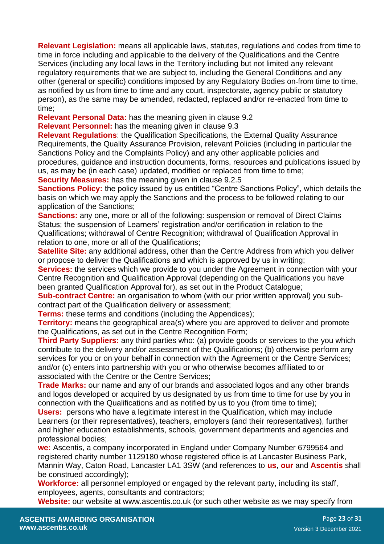**Relevant Legislation:** means all applicable laws, statutes, regulations and codes from time to time in force including and applicable to the delivery of the Qualifications and the Centre Services (including any local laws in the Territory including but not limited any relevant regulatory requirements that we are subject to, including the General Conditions and any other (general or specific) conditions imposed by any Regulatory Bodies on from time to time, as notified by us from time to time and any court, inspectorate, agency public or statutory person), as the same may be amended, redacted, replaced and/or re-enacted from time to time;

**Relevant Personal Data:** has the meaning given in clause 9.2

**Relevant Personnel:** has the meaning given in clause 9.3

**Relevant Regulations**: the Qualification Specifications, the External Quality Assurance Requirements, the Quality Assurance Provision, relevant Policies (including in particular the Sanctions Policy and the Complaints Policy) and any other applicable policies and procedures, guidance and instruction documents, forms, resources and publications issued by us, as may be (in each case) updated, modified or replaced from time to time; **Security Measures:** has the meaning given in clause 9.2.5

**Sanctions Policy:** the policy issued by us entitled "Centre Sanctions Policy", which details the basis on which we may apply the Sanctions and the process to be followed relating to our application of the Sanctions;

**Sanctions:** any one, more or all of the following: suspension or removal of Direct Claims Status; the suspension of Learners' registration and/or certification in relation to the Qualifications; withdrawal of Centre Recognition; withdrawal of Qualification Approval in relation to one, more or all of the Qualifications;

**Satellite Site:** any additional address, other than the Centre Address from which you deliver or propose to deliver the Qualifications and which is approved by us in writing;

**Services:** the services which we provide to you under the Agreement in connection with your Centre Recognition and Qualification Approval (depending on the Qualifications you have been granted Qualification Approval for), as set out in the Product Catalogue;

**Sub-contract Centre:** an organisation to whom (with our prior written approval) you subcontract part of the Qualification delivery or assessment;

**Terms:** these terms and conditions (including the Appendices);

**Territory:** means the geographical area(s) where you are approved to deliver and promote the Qualifications, as set out in the Centre Recognition Form;

**Third Party Suppliers:** any third parties who: (a) provide goods or services to the you which contribute to the delivery and/or assessment of the Qualifications; (b) otherwise perform any services for you or on your behalf in connection with the Agreement or the Centre Services; and/or (c) enters into partnership with you or who otherwise becomes affiliated to or associated with the Centre or the Centre Services;

**Trade Marks:** our name and any of our brands and associated logos and any other brands and logos developed or acquired by us designated by us from time to time for use by you in connection with the Qualifications and as notified by us to you (from time to time);

**Users:** persons who have a legitimate interest in the Qualification, which may include Learners (or their representatives), teachers, employers (and their representatives), further and higher education establishments, schools, government departments and agencies and professional bodies;

**we:** Ascentis, a company incorporated in England under Company Number 6799564 and registered charity number 1129180 whose registered office is at Lancaster Business Park, Mannin Way, Caton Road, Lancaster LA1 3SW (and references to **us**, **our** and **Ascentis** shall be construed accordingly);

**Workforce:** all personnel employed or engaged by the relevant party, including its staff, employees, agents, consultants and contractors;

**Website:** our website at www.ascentis.co.uk (or such other website as we may specify from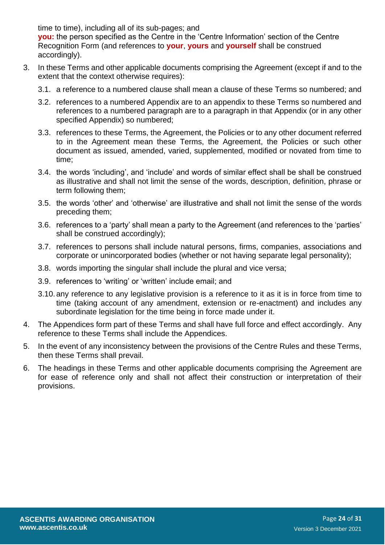time to time), including all of its sub-pages; and

**you:** the person specified as the Centre in the 'Centre Information' section of the Centre Recognition Form (and references to **your**, **yours** and **yourself** shall be construed accordingly).

- 3. In these Terms and other applicable documents comprising the Agreement (except if and to the extent that the context otherwise requires):
	- 3.1. a reference to a numbered clause shall mean a clause of these Terms so numbered; and
	- 3.2. references to a numbered Appendix are to an appendix to these Terms so numbered and references to a numbered paragraph are to a paragraph in that Appendix (or in any other specified Appendix) so numbered;
	- 3.3. references to these Terms, the Agreement, the Policies or to any other document referred to in the Agreement mean these Terms, the Agreement, the Policies or such other document as issued, amended, varied, supplemented, modified or novated from time to time;
	- 3.4. the words 'including', and 'include' and words of similar effect shall be shall be construed as illustrative and shall not limit the sense of the words, description, definition, phrase or term following them;
	- 3.5. the words 'other' and 'otherwise' are illustrative and shall not limit the sense of the words preceding them;
	- 3.6. references to a 'party' shall mean a party to the Agreement (and references to the 'parties' shall be construed accordingly);
	- 3.7. references to persons shall include natural persons, firms, companies, associations and corporate or unincorporated bodies (whether or not having separate legal personality);
	- 3.8. words importing the singular shall include the plural and vice versa;
	- 3.9. references to 'writing' or 'written' include email; and
	- 3.10.any reference to any legislative provision is a reference to it as it is in force from time to time (taking account of any amendment, extension or re-enactment) and includes any subordinate legislation for the time being in force made under it.
- 4. The Appendices form part of these Terms and shall have full force and effect accordingly. Any reference to these Terms shall include the Appendices.
- 5. In the event of any inconsistency between the provisions of the Centre Rules and these Terms, then these Terms shall prevail.
- 6. The headings in these Terms and other applicable documents comprising the Agreement are for ease of reference only and shall not affect their construction or interpretation of their provisions.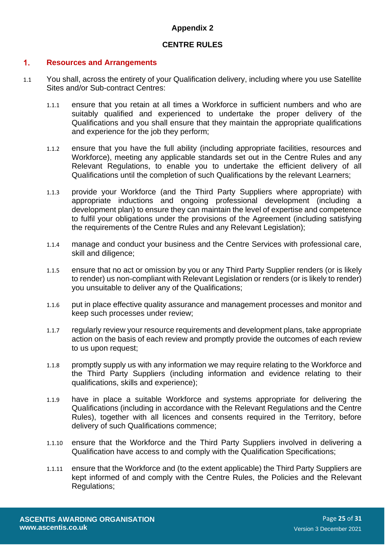### **CENTRE RULES**

#### $\mathbf{1}$ . **Resources and Arrangements**

- 1.1 You shall, across the entirety of your Qualification delivery, including where you use Satellite Sites and/or Sub-contract Centres:
	- 1.1.1 ensure that you retain at all times a Workforce in sufficient numbers and who are suitably qualified and experienced to undertake the proper delivery of the Qualifications and you shall ensure that they maintain the appropriate qualifications and experience for the job they perform;
	- 1.1.2 ensure that you have the full ability (including appropriate facilities, resources and Workforce), meeting any applicable standards set out in the Centre Rules and any Relevant Regulations, to enable you to undertake the efficient delivery of all Qualifications until the completion of such Qualifications by the relevant Learners;
	- 1.1.3 provide your Workforce (and the Third Party Suppliers where appropriate) with appropriate inductions and ongoing professional development (including a development plan) to ensure they can maintain the level of expertise and competence to fulfil your obligations under the provisions of the Agreement (including satisfying the requirements of the Centre Rules and any Relevant Legislation);
	- 1.1.4 manage and conduct your business and the Centre Services with professional care, skill and diligence;
	- 1.1.5 ensure that no act or omission by you or any Third Party Supplier renders (or is likely to render) us non-compliant with Relevant Legislation or renders (or is likely to render) you unsuitable to deliver any of the Qualifications;
	- 1.1.6 put in place effective quality assurance and management processes and monitor and keep such processes under review;
	- 1.1.7 regularly review your resource requirements and development plans, take appropriate action on the basis of each review and promptly provide the outcomes of each review to us upon request;
	- 1.1.8 promptly supply us with any information we may require relating to the Workforce and the Third Party Suppliers (including information and evidence relating to their qualifications, skills and experience);
	- 1.1.9 have in place a suitable Workforce and systems appropriate for delivering the Qualifications (including in accordance with the Relevant Regulations and the Centre Rules), together with all licences and consents required in the Territory, before delivery of such Qualifications commence;
	- 1.1.10 ensure that the Workforce and the Third Party Suppliers involved in delivering a Qualification have access to and comply with the Qualification Specifications;
	- 1.1.11 ensure that the Workforce and (to the extent applicable) the Third Party Suppliers are kept informed of and comply with the Centre Rules, the Policies and the Relevant Regulations;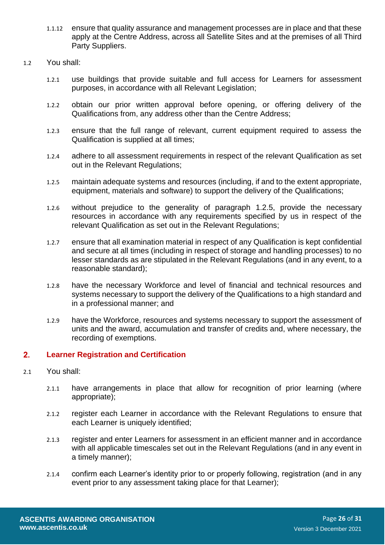- 1.1.12 ensure that quality assurance and management processes are in place and that these apply at the Centre Address, across all Satellite Sites and at the premises of all Third Party Suppliers.
- 1.2 You shall:
	- 1.2.1 use buildings that provide suitable and full access for Learners for assessment purposes, in accordance with all Relevant Legislation;
	- 1.2.2 obtain our prior written approval before opening, or offering delivery of the Qualifications from, any address other than the Centre Address;
	- 1.2.3 ensure that the full range of relevant, current equipment required to assess the Qualification is supplied at all times;
	- 1.2.4 adhere to all assessment requirements in respect of the relevant Qualification as set out in the Relevant Regulations;
	- 1.2.5 maintain adequate systems and resources (including, if and to the extent appropriate, equipment, materials and software) to support the delivery of the Qualifications;
	- 1.2.6 without prejudice to the generality of paragraph 1.2.5, provide the necessary resources in accordance with any requirements specified by us in respect of the relevant Qualification as set out in the Relevant Regulations;
	- 1.2.7 ensure that all examination material in respect of any Qualification is kept confidential and secure at all times (including in respect of storage and handling processes) to no lesser standards as are stipulated in the Relevant Regulations (and in any event, to a reasonable standard);
	- 1.2.8 have the necessary Workforce and level of financial and technical resources and systems necessary to support the delivery of the Qualifications to a high standard and in a professional manner; and
	- 1.2.9 have the Workforce, resources and systems necessary to support the assessment of units and the award, accumulation and transfer of credits and, where necessary, the recording of exemptions.

#### $2.$ **Learner Registration and Certification**

- 2.1 You shall:
	- 2.1.1 have arrangements in place that allow for recognition of prior learning (where appropriate);
	- 2.1.2 register each Learner in accordance with the Relevant Regulations to ensure that each Learner is uniquely identified;
	- 2.1.3 register and enter Learners for assessment in an efficient manner and in accordance with all applicable timescales set out in the Relevant Regulations (and in any event in a timely manner);
	- 2.1.4 confirm each Learner's identity prior to or properly following, registration (and in any event prior to any assessment taking place for that Learner);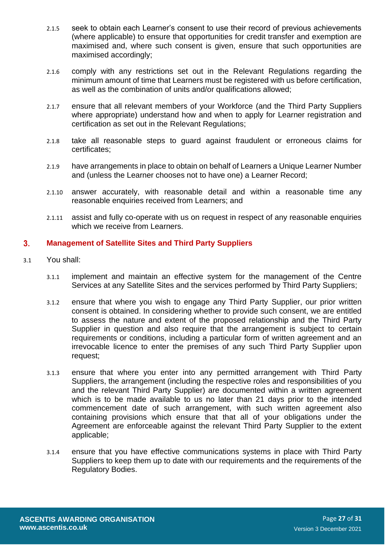- 2.1.5 seek to obtain each Learner's consent to use their record of previous achievements (where applicable) to ensure that opportunities for credit transfer and exemption are maximised and, where such consent is given, ensure that such opportunities are maximised accordingly;
- 2.1.6 comply with any restrictions set out in the Relevant Regulations regarding the minimum amount of time that Learners must be registered with us before certification, as well as the combination of units and/or qualifications allowed;
- 2.1.7 ensure that all relevant members of your Workforce (and the Third Party Suppliers where appropriate) understand how and when to apply for Learner registration and certification as set out in the Relevant Regulations;
- 2.1.8 take all reasonable steps to guard against fraudulent or erroneous claims for certificates;
- 2.1.9 have arrangements in place to obtain on behalf of Learners a Unique Learner Number and (unless the Learner chooses not to have one) a Learner Record;
- 2.1.10 answer accurately, with reasonable detail and within a reasonable time any reasonable enquiries received from Learners; and
- 2.1.11 assist and fully co-operate with us on request in respect of any reasonable enquiries which we receive from Learners.

#### $3.$ **Management of Satellite Sites and Third Party Suppliers**

- 3.1 You shall:
	- 3.1.1 implement and maintain an effective system for the management of the Centre Services at any Satellite Sites and the services performed by Third Party Suppliers;
	- 3.1.2 ensure that where you wish to engage any Third Party Supplier, our prior written consent is obtained. In considering whether to provide such consent, we are entitled to assess the nature and extent of the proposed relationship and the Third Party Supplier in question and also require that the arrangement is subject to certain requirements or conditions, including a particular form of written agreement and an irrevocable licence to enter the premises of any such Third Party Supplier upon request;
	- 3.1.3 ensure that where you enter into any permitted arrangement with Third Party Suppliers, the arrangement (including the respective roles and responsibilities of you and the relevant Third Party Supplier) are documented within a written agreement which is to be made available to us no later than 21 days prior to the intended commencement date of such arrangement, with such written agreement also containing provisions which ensure that that all of your obligations under the Agreement are enforceable against the relevant Third Party Supplier to the extent applicable;
	- 3.1.4 ensure that you have effective communications systems in place with Third Party Suppliers to keep them up to date with our requirements and the requirements of the Regulatory Bodies.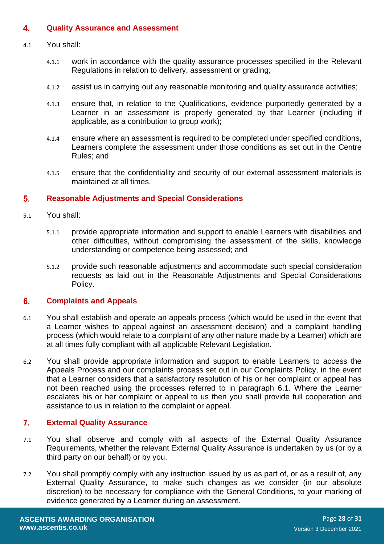#### 4. **Quality Assurance and Assessment**

- 4.1 You shall:
	- 4.1.1 work in accordance with the quality assurance processes specified in the Relevant Regulations in relation to delivery, assessment or grading;
	- 4.1.2 assist us in carrying out any reasonable monitoring and quality assurance activities;
	- 4.1.3 ensure that, in relation to the Qualifications, evidence purportedly generated by a Learner in an assessment is properly generated by that Learner (including if applicable, as a contribution to group work);
	- 4.1.4 ensure where an assessment is required to be completed under specified conditions, Learners complete the assessment under those conditions as set out in the Centre Rules; and
	- 4.1.5 ensure that the confidentiality and security of our external assessment materials is maintained at all times.

#### **Reasonable Adjustments and Special Considerations** 5.

- 5.1 You shall:
	- 5.1.1 provide appropriate information and support to enable Learners with disabilities and other difficulties, without compromising the assessment of the skills, knowledge understanding or competence being assessed; and
	- 5.1.2 provide such reasonable adjustments and accommodate such special consideration requests as laid out in the Reasonable Adjustments and Special Considerations Policy.

#### 6. **Complaints and Appeals**

- 6.1 You shall establish and operate an appeals process (which would be used in the event that a Learner wishes to appeal against an assessment decision) and a complaint handling process (which would relate to a complaint of any other nature made by a Learner) which are at all times fully compliant with all applicable Relevant Legislation.
- 6.2 You shall provide appropriate information and support to enable Learners to access the Appeals Process and our complaints process set out in our Complaints Policy, in the event that a Learner considers that a satisfactory resolution of his or her complaint or appeal has not been reached using the processes referred to in paragraph 6.1. Where the Learner escalates his or her complaint or appeal to us then you shall provide full cooperation and assistance to us in relation to the complaint or appeal.

#### 7. **External Quality Assurance**

- 7.1 You shall observe and comply with all aspects of the External Quality Assurance Requirements, whether the relevant External Quality Assurance is undertaken by us (or by a third party on our behalf) or by you.
- 7.2 You shall promptly comply with any instruction issued by us as part of, or as a result of, any External Quality Assurance, to make such changes as we consider (in our absolute discretion) to be necessary for compliance with the General Conditions, to your marking of evidence generated by a Learner during an assessment.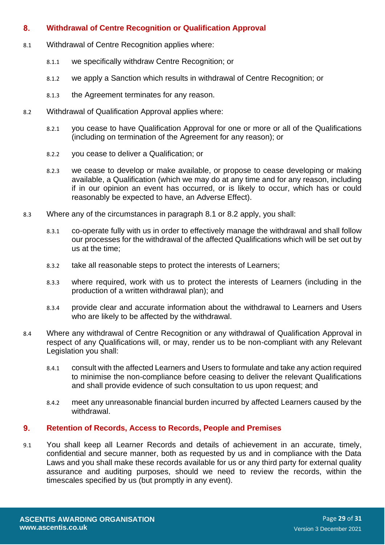#### 8. **Withdrawal of Centre Recognition or Qualification Approval**

- 8.1 Withdrawal of Centre Recognition applies where:
	- 8.1.1 we specifically withdraw Centre Recognition; or
	- 8.1.2 we apply a Sanction which results in withdrawal of Centre Recognition; or
	- 8.1.3 the Agreement terminates for any reason.
- 8.2 Withdrawal of Qualification Approval applies where:
	- 8.2.1 you cease to have Qualification Approval for one or more or all of the Qualifications (including on termination of the Agreement for any reason); or
	- 8.2.2 you cease to deliver a Qualification; or
	- 8.2.3 we cease to develop or make available, or propose to cease developing or making available, a Qualification (which we may do at any time and for any reason, including if in our opinion an event has occurred, or is likely to occur, which has or could reasonably be expected to have, an Adverse Effect).
- 8.3 Where any of the circumstances in paragraph 8.1 or 8.2 apply, you shall:
	- 8.3.1 co-operate fully with us in order to effectively manage the withdrawal and shall follow our processes for the withdrawal of the affected Qualifications which will be set out by us at the time;
	- 8.3.2 take all reasonable steps to protect the interests of Learners;
	- 8.3.3 where required, work with us to protect the interests of Learners (including in the production of a written withdrawal plan); and
	- 8.3.4 provide clear and accurate information about the withdrawal to Learners and Users who are likely to be affected by the withdrawal.
- 8.4 Where any withdrawal of Centre Recognition or any withdrawal of Qualification Approval in respect of any Qualifications will, or may, render us to be non-compliant with any Relevant Legislation you shall:
	- 8.4.1 consult with the affected Learners and Users to formulate and take any action required to minimise the non-compliance before ceasing to deliver the relevant Qualifications and shall provide evidence of such consultation to us upon request; and
	- 8.4.2 meet any unreasonable financial burden incurred by affected Learners caused by the withdrawal.

#### $9<sub>-</sub>$ **Retention of Records, Access to Records, People and Premises**

9.1 You shall keep all Learner Records and details of achievement in an accurate, timely, confidential and secure manner, both as requested by us and in compliance with the Data Laws and you shall make these records available for us or any third party for external quality assurance and auditing purposes, should we need to review the records, within the timescales specified by us (but promptly in any event).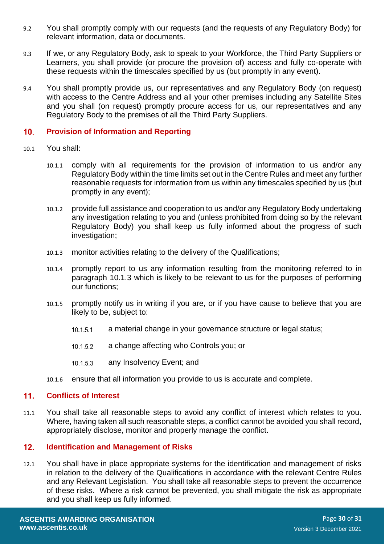- 9.2 You shall promptly comply with our requests (and the requests of any Regulatory Body) for relevant information, data or documents.
- 9.3 If we, or any Regulatory Body, ask to speak to your Workforce, the Third Party Suppliers or Learners, you shall provide (or procure the provision of) access and fully co-operate with these requests within the timescales specified by us (but promptly in any event).
- 9.4 You shall promptly provide us, our representatives and any Regulatory Body (on request) with access to the Centre Address and all your other premises including any Satellite Sites and you shall (on request) promptly procure access for us, our representatives and any Regulatory Body to the premises of all the Third Party Suppliers.

#### $10<sub>1</sub>$ **Provision of Information and Reporting**

- 10.1 You shall:
	- 10.1.1 comply with all requirements for the provision of information to us and/or any Regulatory Body within the time limits set out in the Centre Rules and meet any further reasonable requests for information from us within any timescales specified by us (but promptly in any event);
	- 10.1.2 provide full assistance and cooperation to us and/or any Regulatory Body undertaking any investigation relating to you and (unless prohibited from doing so by the relevant Regulatory Body) you shall keep us fully informed about the progress of such investigation;
	- 10.1.3 monitor activities relating to the delivery of the Qualifications;
	- 10.1.4 promptly report to us any information resulting from the monitoring referred to in paragraph 10.1.3 which is likely to be relevant to us for the purposes of performing our functions;
	- 10.1.5 promptly notify us in writing if you are, or if you have cause to believe that you are likely to be, subject to:
		- $10.1.5.1$ a material change in your governance structure or legal status;
		- a change affecting who Controls you; or 10.1.5.2
		- any Insolvency Event; and  $10.1.5.3$
	- 10.1.6 ensure that all information you provide to us is accurate and complete.

#### $11.$ **Conflicts of Interest**

11.1 You shall take all reasonable steps to avoid any conflict of interest which relates to you. Where, having taken all such reasonable steps, a conflict cannot be avoided you shall record, appropriately disclose, monitor and properly manage the conflict.

#### $12.$ **Identification and Management of Risks**

12.1 You shall have in place appropriate systems for the identification and management of risks in relation to the delivery of the Qualifications in accordance with the relevant Centre Rules and any Relevant Legislation. You shall take all reasonable steps to prevent the occurrence of these risks. Where a risk cannot be prevented, you shall mitigate the risk as appropriate and you shall keep us fully informed.